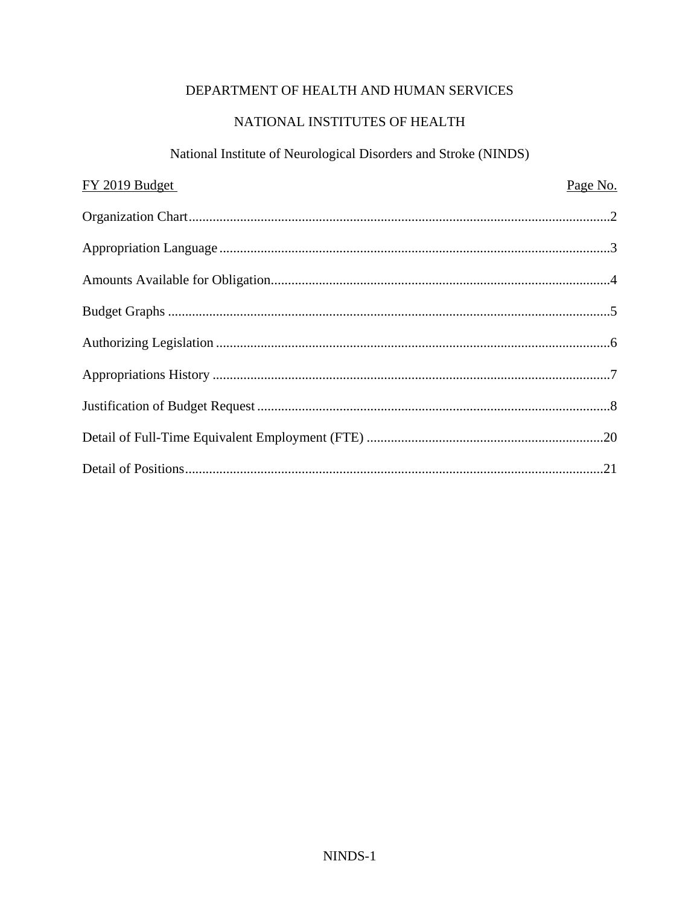# DEPARTMENT OF HEALTH AND HUMAN SERVICES

# NATIONAL INSTITUTES OF HEALTH

# National Institute of Neurological Disorders and Stroke (NINDS)

| FY 2019 Budget | Page No. |
|----------------|----------|
|                |          |
|                |          |
|                |          |
|                |          |
|                |          |
|                |          |
|                |          |
|                |          |
|                |          |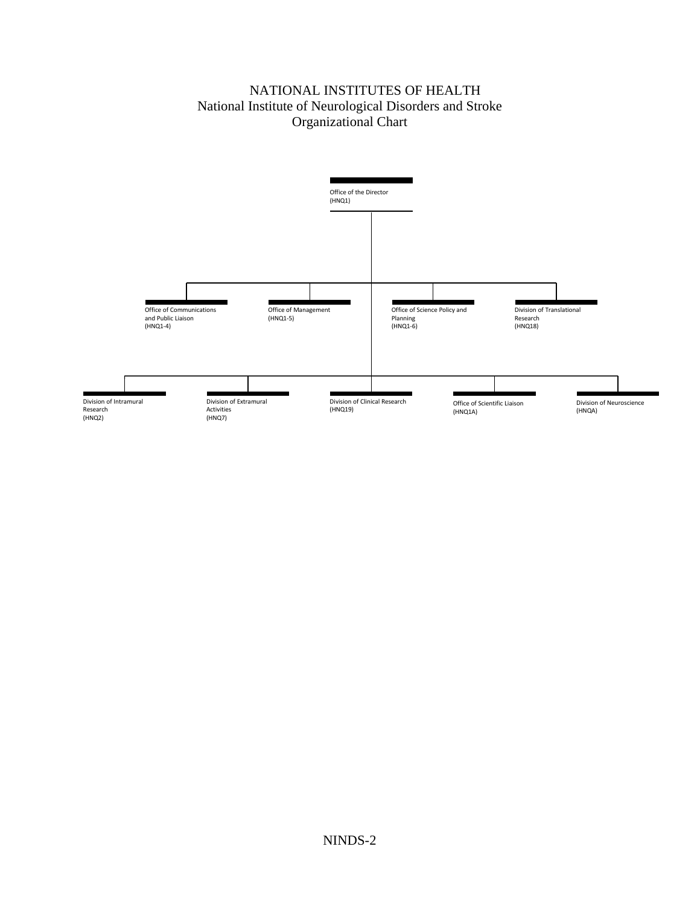## NATIONAL INSTITUTES OF HEALTH National Institute of Neurological Disorders and Stroke Organizational Chart

<span id="page-1-0"></span>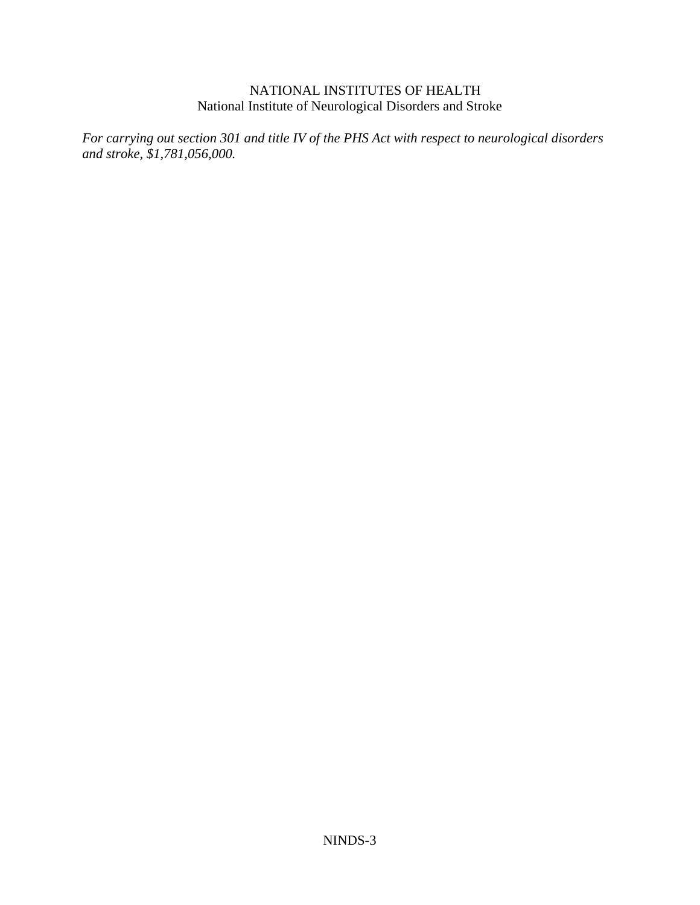<span id="page-2-0"></span>*For carrying out section 301 and title IV of the PHS Act with respect to neurological disorders and stroke, \$1,781,056,000.*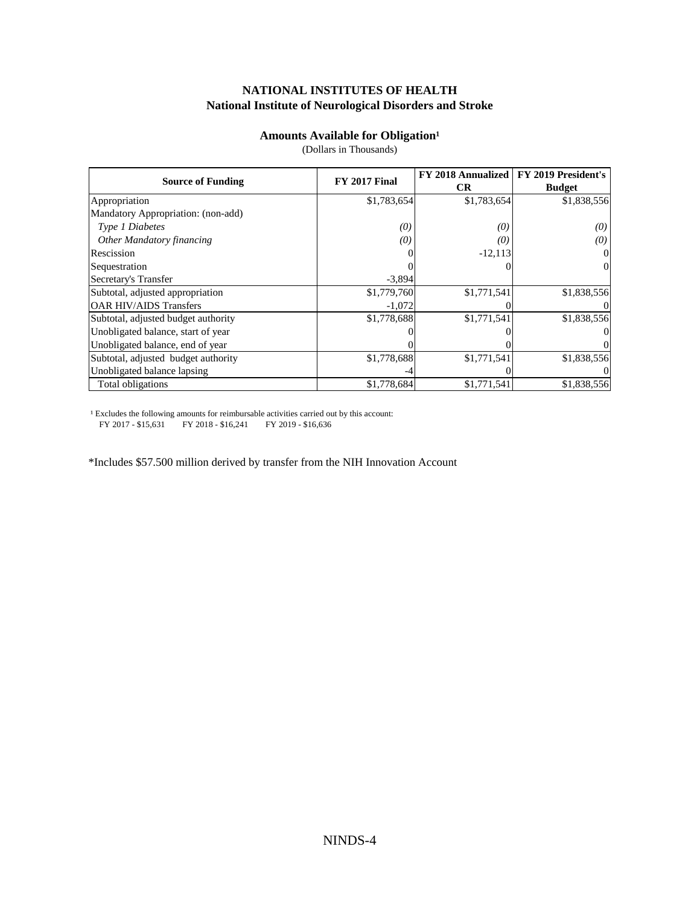## **National Institute of Neurological Disorders and Stroke NATIONAL INSTITUTES OF HEALTH**

#### **Amounts Available for Obligation<sup>1</sup>**

(Dollars in Thousands)

<span id="page-3-0"></span>

| <b>Source of Funding</b>            | <b>FY 2017 Final</b> | FY 2018 Annualized | FY 2019 President's |  |
|-------------------------------------|----------------------|--------------------|---------------------|--|
|                                     |                      | <b>CR</b>          | <b>Budget</b>       |  |
| Appropriation                       | \$1,783,654          | \$1,783,654        | \$1,838,556         |  |
| Mandatory Appropriation: (non-add)  |                      |                    |                     |  |
| Type 1 Diabetes                     | (0)                  | (0)                | $\left( 0\right)$   |  |
| Other Mandatory financing           | (0)                  | 10.                | (0)                 |  |
| Rescission                          |                      | $-12,113$          |                     |  |
| Sequestration                       |                      |                    | $\Omega$            |  |
| Secretary's Transfer                | $-3,894$             |                    |                     |  |
| Subtotal, adjusted appropriation    | \$1,779,760          | \$1,771,541        | \$1,838,556         |  |
| <b>OAR HIV/AIDS Transfers</b>       | $-1,072$             |                    |                     |  |
| Subtotal, adjusted budget authority | \$1,778,688          | \$1,771,541        | \$1,838,556         |  |
| Unobligated balance, start of year  |                      |                    |                     |  |
| Unobligated balance, end of year    |                      |                    |                     |  |
| Subtotal, adjusted budget authority | \$1,778,688          | \$1,771,541        | \$1,838,556         |  |
| Unobligated balance lapsing         |                      |                    |                     |  |
| Total obligations                   | \$1,778,684          | \$1,771,541        | \$1,838,556         |  |

<sup>1</sup> Excludes the following amounts for reimbursable activities carried out by this account: FY 2017 - \$15,631 FY 2018 - \$16,241 FY 2019 - \$16,636

\*Includes \$57.500 million derived by transfer from the NIH Innovation Account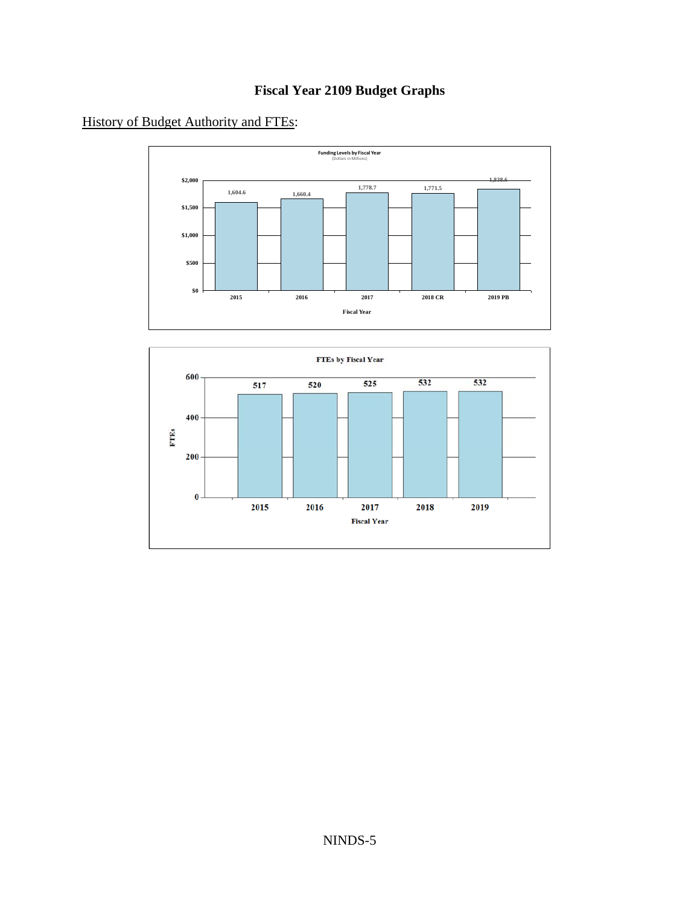# **Fiscal Year 2109 Budget Graphs**

<span id="page-4-0"></span>History of Budget Authority and FTEs:



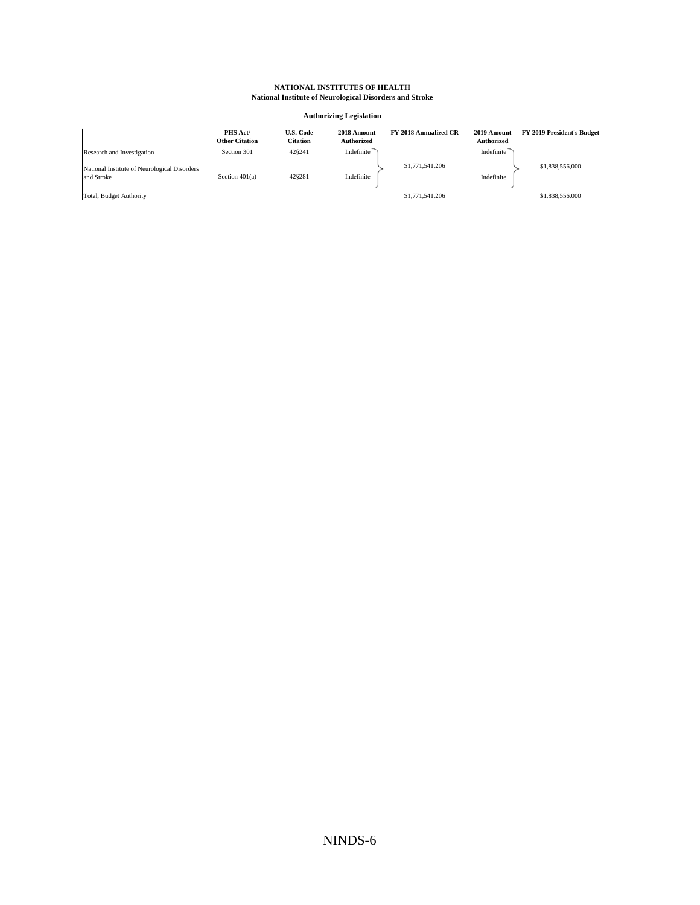#### **Authorizing Legislation**

<span id="page-5-0"></span>

|                                                            | PHS Act/<br><b>Other Citation</b> | <b>U.S. Code</b><br>Citation | 2018 Amount<br><b>Authorized</b> | FY 2018 Annualized CR | 2019 Amount<br><b>Authorized</b> | FY 2019 President's Budget |
|------------------------------------------------------------|-----------------------------------|------------------------------|----------------------------------|-----------------------|----------------------------------|----------------------------|
| Research and Investigation                                 | Section 301                       | 428241                       | Indefinite                       |                       | Indefinite                       |                            |
| National Institute of Neurological Disorders<br>and Stroke | Section $401(a)$                  | 428281                       | Indefinite                       | \$1,771,541,206       | Indefinite                       | \$1,838,556,000            |
| Total, Budget Authority                                    |                                   |                              |                                  | \$1,771,541,206       |                                  | \$1,838,556,000            |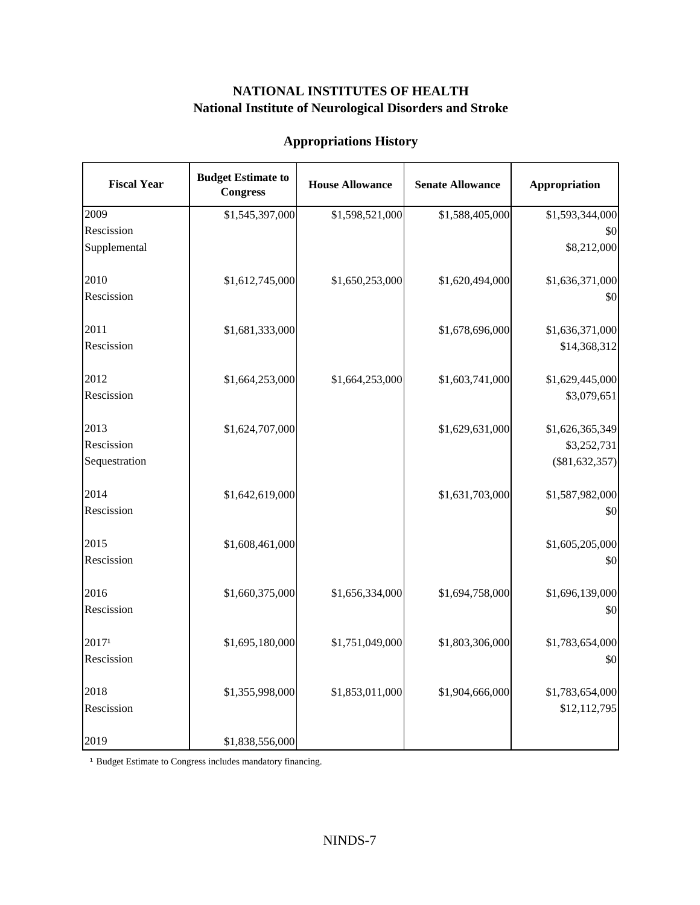<span id="page-6-0"></span>

| <b>Fiscal Year</b> | <b>Budget Estimate to</b><br><b>Congress</b> | <b>House Allowance</b> | <b>Senate Allowance</b> | Appropriation    |
|--------------------|----------------------------------------------|------------------------|-------------------------|------------------|
| 2009               | \$1,545,397,000                              | \$1,598,521,000        | \$1,588,405,000         | \$1,593,344,000  |
| Rescission         |                                              |                        |                         | \$0              |
| Supplemental       |                                              |                        |                         | \$8,212,000      |
| 2010               | \$1,612,745,000                              | \$1,650,253,000        | \$1,620,494,000         | \$1,636,371,000  |
| Rescission         |                                              |                        |                         | \$0              |
| 2011               | \$1,681,333,000                              |                        | \$1,678,696,000         | \$1,636,371,000  |
| Rescission         |                                              |                        |                         | \$14,368,312     |
| 2012               | \$1,664,253,000                              | \$1,664,253,000        | \$1,603,741,000         | \$1,629,445,000  |
| Rescission         |                                              |                        |                         | \$3,079,651      |
| 2013               | \$1,624,707,000                              |                        | \$1,629,631,000         | \$1,626,365,349  |
| Rescission         |                                              |                        |                         | \$3,252,731      |
| Sequestration      |                                              |                        |                         | $(\$81,632,357)$ |
| 2014               | \$1,642,619,000                              |                        | \$1,631,703,000         | \$1,587,982,000  |
| Rescission         |                                              |                        |                         | \$0              |
| 2015               | \$1,608,461,000                              |                        |                         | \$1,605,205,000  |
| Rescission         |                                              |                        |                         | \$0              |
| 2016               | \$1,660,375,000                              | \$1,656,334,000        | \$1,694,758,000         | \$1,696,139,000  |
| Rescission         |                                              |                        |                         | \$0              |
| 20171              | \$1,695,180,000                              | \$1,751,049,000        | \$1,803,306,000         | \$1,783,654,000  |
| Rescission         |                                              |                        |                         | \$0              |
| 2018               | \$1,355,998,000                              | \$1,853,011,000        | \$1,904,666,000         | \$1,783,654,000  |
| Rescission         |                                              |                        |                         | \$12,112,795     |
| 2019               | \$1,838,556,000                              |                        |                         |                  |

# **Appropriations History**

<sup>1</sup> Budget Estimate to Congress includes mandatory financing.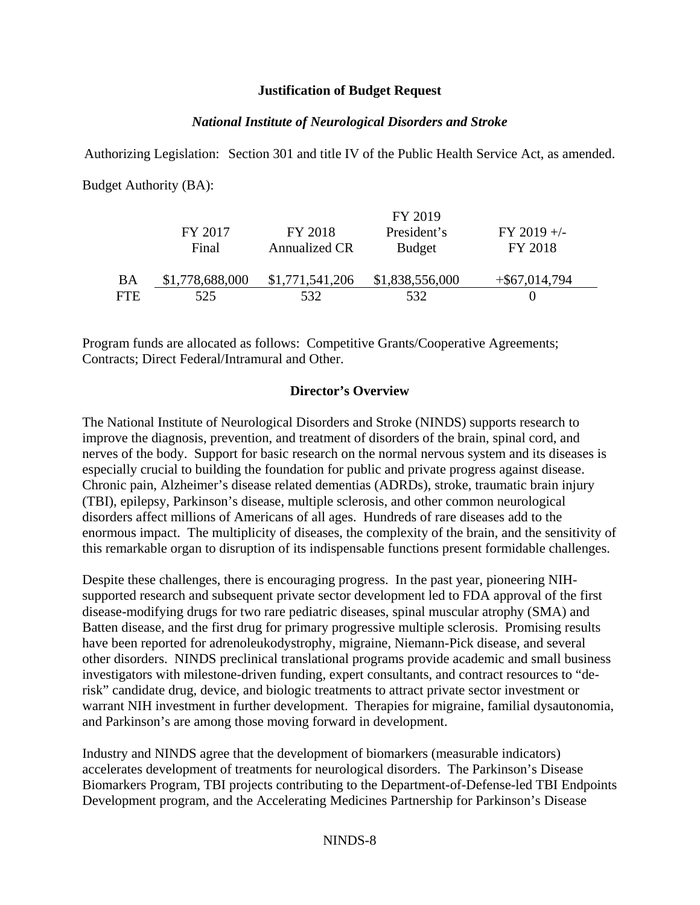## **Justification of Budget Request**

## *National Institute of Neurological Disorders and Stroke*

<span id="page-7-0"></span>Authorizing Legislation: Section 301 and title IV of the Public Health Service Act, as amended. Budget Authority (BA):

|      |                 |                 | FY 2019         |                  |  |
|------|-----------------|-----------------|-----------------|------------------|--|
|      | FY 2017         | FY 2018         | President's     | $FY$ 2019 +/-    |  |
|      | Final           | Annualized CR   | <b>Budget</b>   | FY 2018          |  |
| BA   | \$1,778,688,000 | \$1,771,541,206 | \$1,838,556,000 | $+$ \$67,014,794 |  |
| FTE. | 525             | 532             | 532             |                  |  |

Program funds are allocated as follows: Competitive Grants/Cooperative Agreements; Contracts; Direct Federal/Intramural and Other.

## **Director's Overview**

The National Institute of Neurological Disorders and Stroke (NINDS) supports research to improve the diagnosis, prevention, and treatment of disorders of the brain, spinal cord, and nerves of the body. Support for basic research on the normal nervous system and its diseases is especially crucial to building the foundation for public and private progress against disease. Chronic pain, Alzheimer's disease related dementias (ADRDs), stroke, traumatic brain injury (TBI), epilepsy, Parkinson's disease, multiple sclerosis, and other common neurological disorders affect millions of Americans of all ages. Hundreds of rare diseases add to the enormous impact. The multiplicity of diseases, the complexity of the brain, and the sensitivity of this remarkable organ to disruption of its indispensable functions present formidable challenges.

Despite these challenges, there is encouraging progress. In the past year, pioneering NIHsupported research and subsequent private sector development led to FDA approval of the first disease-modifying drugs for two rare pediatric diseases, spinal muscular atrophy (SMA) and Batten disease, and the first drug for primary progressive multiple sclerosis. Promising results have been reported for adrenoleukodystrophy, migraine, Niemann-Pick disease, and several other disorders. NINDS preclinical translational programs provide academic and small business investigators with milestone-driven funding, expert consultants, and contract resources to "derisk" candidate drug, device, and biologic treatments to attract private sector investment or warrant NIH investment in further development. Therapies for migraine, familial dysautonomia, and Parkinson's are among those moving forward in development.

Industry and NINDS agree that the development of biomarkers (measurable indicators) accelerates development of treatments for neurological disorders. The Parkinson's Disease Biomarkers Program, TBI projects contributing to the Department-of-Defense-led TBI Endpoints Development program, and the Accelerating Medicines Partnership for Parkinson's Disease

#### NINDS-8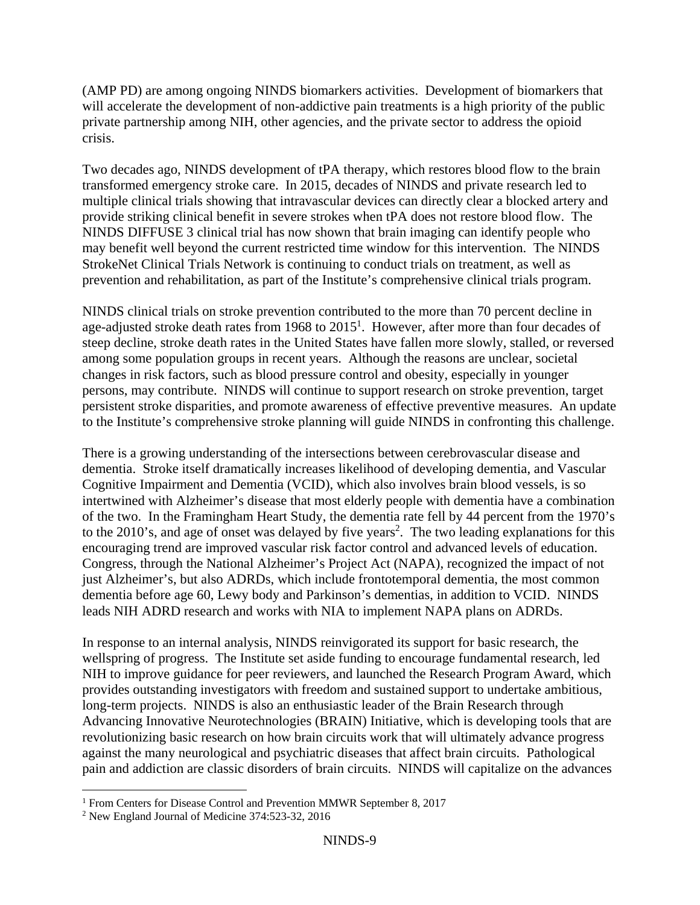(AMP PD) are among ongoing NINDS biomarkers activities. Development of biomarkers that will accelerate the development of non-addictive pain treatments is a high priority of the public private partnership among NIH, other agencies, and the private sector to address the opioid crisis.

Two decades ago, NINDS development of tPA therapy, which restores blood flow to the brain transformed emergency stroke care. In 2015, decades of NINDS and private research led to multiple clinical trials showing that intravascular devices can directly clear a blocked artery and provide striking clinical benefit in severe strokes when tPA does not restore blood flow. The NINDS DIFFUSE 3 clinical trial has now shown that brain imaging can identify people who may benefit well beyond the current restricted time window for this intervention. The NINDS StrokeNet Clinical Trials Network is continuing to conduct trials on treatment, as well as

 prevention and rehabilitation, as part of the Institute's comprehensive clinical trials program. NINDS clinical trials on stroke prevention contributed to the more than 70 percent decline in age-adjusted stroke death rates from 1968 to  $2015<sup>1</sup>$ . However, after more than four decades of steep decline, stroke death rates in the United States have fallen more slowly, stalled, or reversed among some population groups in recent years. Although the reasons are unclear, societal changes in risk factors, such as blood pressure control and obesity, especially in younger persons, may contribute. NINDS will continue to support research on stroke prevention, target persistent stroke disparities, and promote awareness of effective preventive measures. An update to the Institute's comprehensive stroke planning will guide NINDS in confronting this challenge.

There is a growing understanding of the intersections between cerebrovascular disease and dementia. Stroke itself dramatically increases likelihood of developing dementia, and Vascular Cognitive Impairment and Dementia (VCID), which also involves brain blood vessels, is so intertwined with Alzheimer's disease that most elderly people with dementia have a combination of the two. In the Framingham Heart Study, the dementia rate fell by 44 percent from the 1970's to the  $2010$ 's, and age of onset was delayed by five years<sup>2</sup>. The two leading explanations for this encouraging trend are improved vascular risk factor control and advanced levels of education. Congress, through the National Alzheimer's Project Act (NAPA), recognized the impact of not just Alzheimer's, but also ADRDs, which include frontotemporal dementia, the most common dementia before age 60, Lewy body and Parkinson's dementias, in addition to VCID. NINDS leads NIH ADRD research and works with NIA to implement NAPA plans on ADRDs.

In response to an internal analysis, NINDS reinvigorated its support for basic research, the wellspring of progress. The Institute set aside funding to encourage fundamental research, led NIH to improve guidance for peer reviewers, and launched the Research Program Award, which provides outstanding investigators with freedom and sustained support to undertake ambitious, long-term projects. NINDS is also an enthusiastic leader of the Brain Research through Advancing Innovative Neurotechnologies (BRAIN) Initiative, which is developing tools that are revolutionizing basic research on how brain circuits work that will ultimately advance progress against the many neurological and psychiatric diseases that affect brain circuits. Pathological pain and addiction are classic disorders of brain circuits. NINDS will capitalize on the advances

 $\overline{a}$ 

<sup>&</sup>lt;sup>1</sup> From Centers for Disease Control and Prevention MMWR September 8, 2017

<sup>2</sup> New England Journal of Medicine 374:523-32, 2016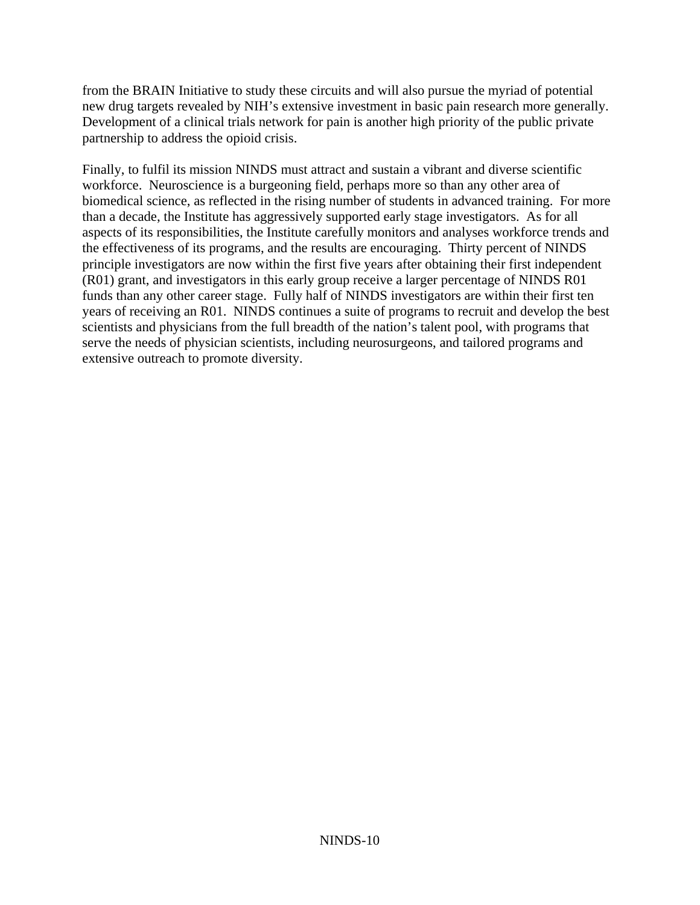from the BRAIN Initiative to study these circuits and will also pursue the myriad of potential new drug targets revealed by NIH's extensive investment in basic pain research more generally. Development of a clinical trials network for pain is another high priority of the public private partnership to address the opioid crisis.

Finally, to fulfil its mission NINDS must attract and sustain a vibrant and diverse scientific workforce. Neuroscience is a burgeoning field, perhaps more so than any other area of biomedical science, as reflected in the rising number of students in advanced training. For more than a decade, the Institute has aggressively supported early stage investigators. As for all aspects of its responsibilities, the Institute carefully monitors and analyses workforce trends and the effectiveness of its programs, and the results are encouraging. Thirty percent of NINDS principle investigators are now within the first five years after obtaining their first independent (R01) grant, and investigators in this early group receive a larger percentage of NINDS R01 funds than any other career stage. Fully half of NINDS investigators are within their first ten years of receiving an R01. NINDS continues a suite of programs to recruit and develop the best scientists and physicians from the full breadth of the nation's talent pool, with programs that serve the needs of physician scientists, including neurosurgeons, and tailored programs and extensive outreach to promote diversity.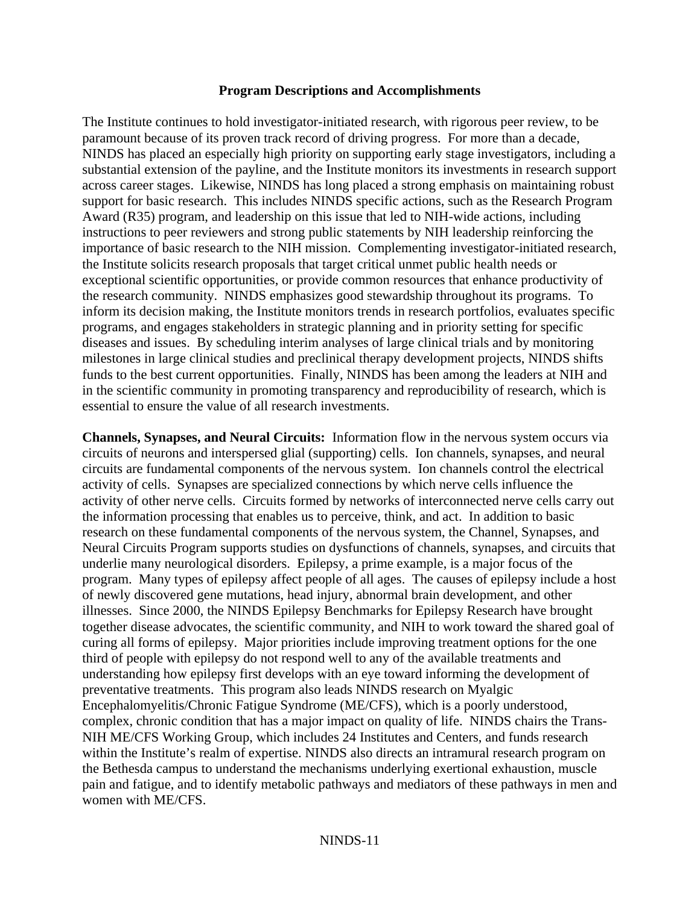#### **Program Descriptions and Accomplishments**

The Institute continues to hold investigator-initiated research, with rigorous peer review, to be paramount because of its proven track record of driving progress. For more than a decade, NINDS has placed an especially high priority on supporting early stage investigators, including a substantial extension of the payline, and the Institute monitors its investments in research support across career stages. Likewise, NINDS has long placed a strong emphasis on maintaining robust support for basic research. This includes NINDS specific actions, such as the Research Program Award (R35) program, and leadership on this issue that led to NIH-wide actions, including instructions to peer reviewers and strong public statements by NIH leadership reinforcing the importance of basic research to the NIH mission. Complementing investigator-initiated research, the Institute solicits research proposals that target critical unmet public health needs or exceptional scientific opportunities, or provide common resources that enhance productivity of the research community. NINDS emphasizes good stewardship throughout its programs. To inform its decision making, the Institute monitors trends in research portfolios, evaluates specific programs, and engages stakeholders in strategic planning and in priority setting for specific diseases and issues. By scheduling interim analyses of large clinical trials and by monitoring milestones in large clinical studies and preclinical therapy development projects, NINDS shifts funds to the best current opportunities. Finally, NINDS has been among the leaders at NIH and in the scientific community in promoting transparency and reproducibility of research, which is essential to ensure the value of all research investments.

**Channels, Synapses, and Neural Circuits:** Information flow in the nervous system occurs via circuits of neurons and interspersed glial (supporting) cells. Ion channels, synapses, and neural circuits are fundamental components of the nervous system. Ion channels control the electrical activity of cells. Synapses are specialized connections by which nerve cells influence the activity of other nerve cells. Circuits formed by networks of interconnected nerve cells carry out the information processing that enables us to perceive, think, and act. In addition to basic research on these fundamental components of the nervous system, the Channel, Synapses, and Neural Circuits Program supports studies on dysfunctions of channels, synapses, and circuits that underlie many neurological disorders. Epilepsy, a prime example, is a major focus of the program. Many types of epilepsy affect people of all ages. The causes of epilepsy include a host of newly discovered gene mutations, head injury, abnormal brain development, and other illnesses. Since 2000, the NINDS Epilepsy Benchmarks for Epilepsy Research have brought together disease advocates, the scientific community, and NIH to work toward the shared goal of curing all forms of epilepsy. Major priorities include improving treatment options for the one third of people with epilepsy do not respond well to any of the available treatments and understanding how epilepsy first develops with an eye toward informing the development of preventative treatments. This program also leads NINDS research on Myalgic Encephalomyelitis/Chronic Fatigue Syndrome (ME/CFS), which is a poorly understood, complex, chronic condition that has a major impact on quality of life. NINDS chairs the Trans-NIH ME/CFS Working Group, which includes 24 Institutes and Centers, and funds research within the Institute's realm of expertise. NINDS also directs an intramural research program on the Bethesda campus to understand the mechanisms underlying exertional exhaustion, muscle pain and fatigue, and to identify metabolic pathways and mediators of these pathways in men and women with ME/CFS.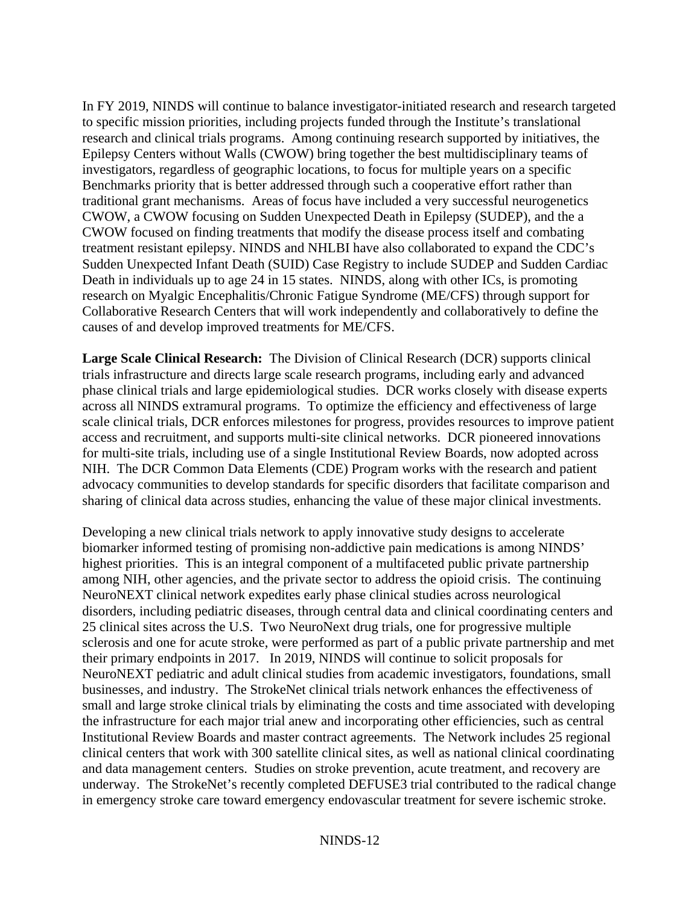In FY 2019, NINDS will continue to balance investigator-initiated research and research targeted to specific mission priorities, including projects funded through the Institute's translational research and clinical trials programs. Among continuing research supported by initiatives, the Epilepsy Centers without Walls (CWOW) bring together the best multidisciplinary teams of investigators, regardless of geographic locations, to focus for multiple years on a specific Benchmarks priority that is better addressed through such a cooperative effort rather than traditional grant mechanisms. Areas of focus have included a very successful neurogenetics CWOW, a CWOW focusing on Sudden Unexpected Death in Epilepsy (SUDEP), and the a CWOW focused on finding treatments that modify the disease process itself and combating treatment resistant epilepsy. NINDS and NHLBI have also collaborated to expand the CDC's Sudden Unexpected Infant Death (SUID) Case Registry to include SUDEP and Sudden Cardiac Death in individuals up to age 24 in 15 states. NINDS, along with other ICs, is promoting research on Myalgic Encephalitis/Chronic Fatigue Syndrome (ME/CFS) through support for Collaborative Research Centers that will work independently and collaboratively to define the causes of and develop improved treatments for ME/CFS.

**Large Scale Clinical Research:** The Division of Clinical Research (DCR) supports clinical trials infrastructure and directs large scale research programs, including early and advanced phase clinical trials and large epidemiological studies. DCR works closely with disease experts across all NINDS extramural programs. To optimize the efficiency and effectiveness of large scale clinical trials, DCR enforces milestones for progress, provides resources to improve patient access and recruitment, and supports multi-site clinical networks. DCR pioneered innovations for multi-site trials, including use of a single Institutional Review Boards, now adopted across NIH. The DCR Common Data Elements (CDE) Program works with the research and patient advocacy communities to develop standards for specific disorders that facilitate comparison and sharing of clinical data across studies, enhancing the value of these major clinical investments.

Developing a new clinical trials network to apply innovative study designs to accelerate biomarker informed testing of promising non-addictive pain medications is among NINDS' highest priorities. This is an integral component of a multifaceted public private partnership among NIH, other agencies, and the private sector to address the opioid crisis. The continuing NeuroNEXT clinical network expedites early phase clinical studies across neurological disorders, including pediatric diseases, through central data and clinical coordinating centers and 25 clinical sites across the U.S. Two NeuroNext drug trials, one for progressive multiple sclerosis and one for acute stroke, were performed as part of a public private partnership and met their primary endpoints in 2017. In 2019, NINDS will continue to solicit proposals for NeuroNEXT pediatric and adult clinical studies from academic investigators, foundations, small businesses, and industry. The StrokeNet clinical trials network enhances the effectiveness of small and large stroke clinical trials by eliminating the costs and time associated with developing the infrastructure for each major trial anew and incorporating other efficiencies, such as central Institutional Review Boards and master contract agreements. The Network includes 25 regional clinical centers that work with 300 satellite clinical sites, as well as national clinical coordinating and data management centers. Studies on stroke prevention, acute treatment, and recovery are underway. The StrokeNet's recently completed DEFUSE3 trial contributed to the radical change in emergency stroke care toward emergency endovascular treatment for severe ischemic stroke.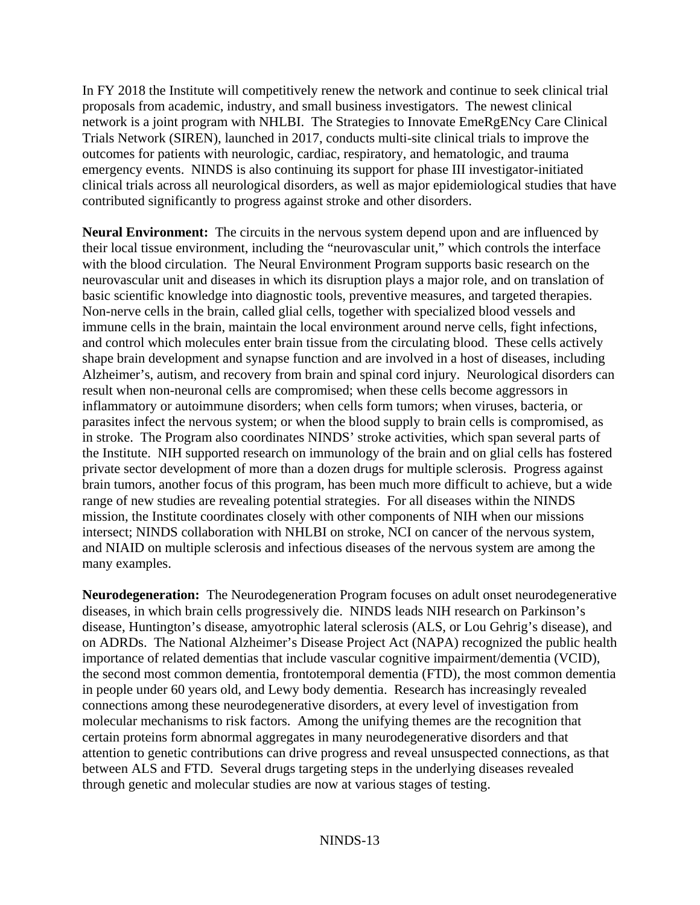In FY 2018 the Institute will competitively renew the network and continue to seek clinical trial proposals from academic, industry, and small business investigators. The newest clinical network is a joint program with NHLBI. The Strategies to Innovate EmeRgENcy Care Clinical Trials Network (SIREN), launched in 2017, conducts multi-site clinical trials to improve the outcomes for patients with neurologic, cardiac, respiratory, and hematologic, and trauma emergency events. NINDS is also continuing its support for phase III investigator-initiated clinical trials across all neurological disorders, as well as major epidemiological studies that have contributed significantly to progress against stroke and other disorders.

**Neural Environment:** The circuits in the nervous system depend upon and are influenced by their local tissue environment, including the "neurovascular unit," which controls the interface with the blood circulation. The Neural Environment Program supports basic research on the neurovascular unit and diseases in which its disruption plays a major role, and on translation of basic scientific knowledge into diagnostic tools, preventive measures, and targeted therapies. Non-nerve cells in the brain, called glial cells, together with specialized blood vessels and immune cells in the brain, maintain the local environment around nerve cells, fight infections, and control which molecules enter brain tissue from the circulating blood. These cells actively shape brain development and synapse function and are involved in a host of diseases, including Alzheimer's, autism, and recovery from brain and spinal cord injury. Neurological disorders can result when non-neuronal cells are compromised; when these cells become aggressors in inflammatory or autoimmune disorders; when cells form tumors; when viruses, bacteria, or parasites infect the nervous system; or when the blood supply to brain cells is compromised, as in stroke. The Program also coordinates NINDS' stroke activities, which span several parts of the Institute. NIH supported research on immunology of the brain and on glial cells has fostered private sector development of more than a dozen drugs for multiple sclerosis. Progress against brain tumors, another focus of this program, has been much more difficult to achieve, but a wide range of new studies are revealing potential strategies. For all diseases within the NINDS mission, the Institute coordinates closely with other components of NIH when our missions intersect; NINDS collaboration with NHLBI on stroke, NCI on cancer of the nervous system, and NIAID on multiple sclerosis and infectious diseases of the nervous system are among the many examples.

**Neurodegeneration:** The Neurodegeneration Program focuses on adult onset neurodegenerative diseases, in which brain cells progressively die. NINDS leads NIH research on Parkinson's disease, Huntington's disease, amyotrophic lateral sclerosis (ALS, or Lou Gehrig's disease), and on ADRDs. The National Alzheimer's Disease Project Act (NAPA) recognized the public health importance of related dementias that include vascular cognitive impairment/dementia (VCID), the second most common dementia, frontotemporal dementia (FTD), the most common dementia in people under 60 years old, and Lewy body dementia. Research has increasingly revealed connections among these neurodegenerative disorders, at every level of investigation from molecular mechanisms to risk factors. Among the unifying themes are the recognition that certain proteins form abnormal aggregates in many neurodegenerative disorders and that attention to genetic contributions can drive progress and reveal unsuspected connections, as that between ALS and FTD. Several drugs targeting steps in the underlying diseases revealed through genetic and molecular studies are now at various stages of testing.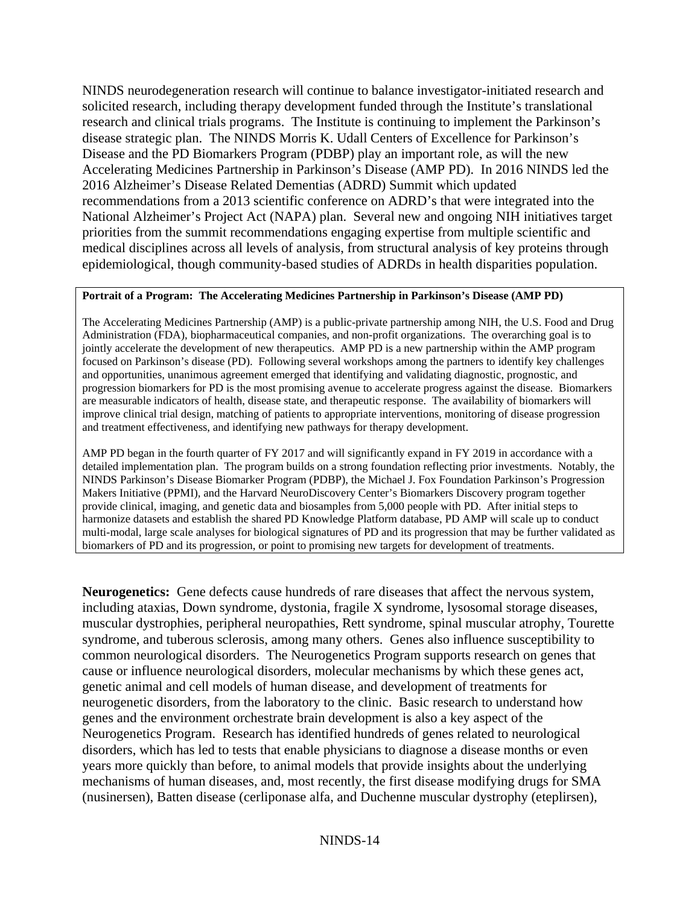NINDS neurodegeneration research will continue to balance investigator-initiated research and solicited research, including therapy development funded through the Institute's translational research and clinical trials programs. The Institute is continuing to implement the Parkinson's disease strategic plan. The NINDS Morris K. Udall Centers of Excellence for Parkinson's Disease and the PD Biomarkers Program (PDBP) play an important role, as will the new Accelerating Medicines Partnership in Parkinson's Disease (AMP PD). In 2016 NINDS led the 2016 Alzheimer's Disease Related Dementias (ADRD) Summit which updated recommendations from a 2013 scientific conference on ADRD's that were integrated into the National Alzheimer's Project Act (NAPA) plan. Several new and ongoing NIH initiatives target priorities from the summit recommendations engaging expertise from multiple scientific and medical disciplines across all levels of analysis, from structural analysis of key proteins through epidemiological, though community-based studies of ADRDs in health disparities population.

#### **Portrait of a Program: The Accelerating Medicines Partnership in Parkinson's Disease (AMP PD)**

 focused on Parkinson's disease (PD). Following several workshops among the partners to identify key challenges and opportunities, unanimous agreement emerged that identifying and validating diagnostic, prognostic, and and treatment effectiveness, and identifying new pathways for therapy development. The Accelerating Medicines Partnership (AMP) is a public-private partnership among NIH, the U.S. Food and Drug Administration (FDA), biopharmaceutical companies, and non-profit organizations. The overarching goal is to jointly accelerate the development of new therapeutics. AMP PD is a new partnership within the AMP program progression biomarkers for PD is the most promising avenue to accelerate progress against the disease. Biomarkers are measurable indicators of health, disease state, and therapeutic response. The availability of biomarkers will improve clinical trial design, matching of patients to appropriate interventions, monitoring of disease progression

 biomarkers of PD and its progression, or point to promising new targets for development of treatments. AMP PD began in the fourth quarter of FY 2017 and will significantly expand in FY 2019 in accordance with a detailed implementation plan. The program builds on a strong foundation reflecting prior investments. Notably, the NINDS Parkinson's Disease Biomarker Program (PDBP), the Michael J. Fox Foundation Parkinson's Progression Makers Initiative (PPMI), and the Harvard NeuroDiscovery Center's Biomarkers Discovery program together provide clinical, imaging, and genetic data and biosamples from 5,000 people with PD. After initial steps to harmonize datasets and establish the shared PD Knowledge Platform database, PD AMP will scale up to conduct multi-modal, large scale analyses for biological signatures of PD and its progression that may be further validated as

**Neurogenetics:** Gene defects cause hundreds of rare diseases that affect the nervous system, including ataxias, Down syndrome, dystonia, fragile X syndrome, lysosomal storage diseases, muscular dystrophies, peripheral neuropathies, Rett syndrome, spinal muscular atrophy, Tourette syndrome, and tuberous sclerosis, among many others. Genes also influence susceptibility to common neurological disorders. The Neurogenetics Program supports research on genes that cause or influence neurological disorders, molecular mechanisms by which these genes act, genetic animal and cell models of human disease, and development of treatments for neurogenetic disorders, from the laboratory to the clinic. Basic research to understand how genes and the environment orchestrate brain development is also a key aspect of the Neurogenetics Program. Research has identified hundreds of genes related to neurological disorders, which has led to tests that enable physicians to diagnose a disease months or even years more quickly than before, to animal models that provide insights about the underlying mechanisms of human diseases, and, most recently, the first disease modifying drugs for SMA (nusinersen), Batten disease (cerliponase alfa, and Duchenne muscular dystrophy (eteplirsen),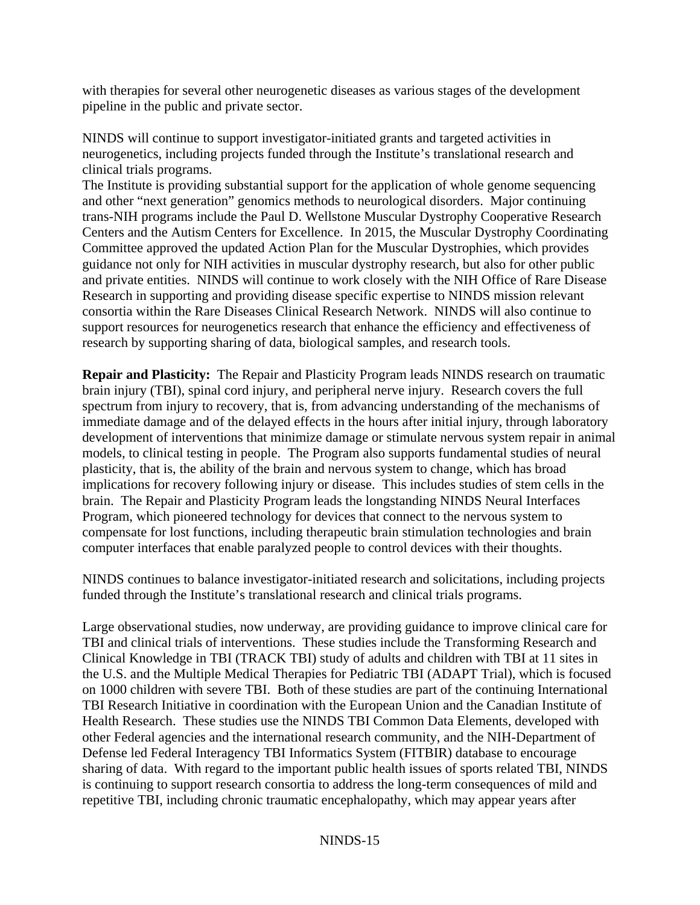with therapies for several other neurogenetic diseases as various stages of the development pipeline in the public and private sector.

NINDS will continue to support investigator-initiated grants and targeted activities in neurogenetics, including projects funded through the Institute's translational research and clinical trials programs.

The Institute is providing substantial support for the application of whole genome sequencing and other "next generation" genomics methods to neurological disorders. Major continuing trans-NIH programs include the Paul D. Wellstone Muscular Dystrophy Cooperative Research Centers and the Autism Centers for Excellence. In 2015, the Muscular Dystrophy Coordinating Committee approved the updated Action Plan for the Muscular Dystrophies, which provides guidance not only for NIH activities in muscular dystrophy research, but also for other public and private entities. NINDS will continue to work closely with the NIH Office of Rare Disease Research in supporting and providing disease specific expertise to NINDS mission relevant consortia within the Rare Diseases Clinical Research Network. NINDS will also continue to support resources for neurogenetics research that enhance the efficiency and effectiveness of research by supporting sharing of data, biological samples, and research tools.

computer interfaces that enable paralyzed people to control devices with their thoughts. **Repair and Plasticity:** The Repair and Plasticity Program leads NINDS research on traumatic brain injury (TBI), spinal cord injury, and peripheral nerve injury. Research covers the full spectrum from injury to recovery, that is, from advancing understanding of the mechanisms of immediate damage and of the delayed effects in the hours after initial injury, through laboratory development of interventions that minimize damage or stimulate nervous system repair in animal models, to clinical testing in people. The Program also supports fundamental studies of neural plasticity, that is, the ability of the brain and nervous system to change, which has broad implications for recovery following injury or disease. This includes studies of stem cells in the brain. The Repair and Plasticity Program leads the longstanding NINDS Neural Interfaces Program, which pioneered technology for devices that connect to the nervous system to compensate for lost functions, including therapeutic brain stimulation technologies and brain

NINDS continues to balance investigator-initiated research and solicitations, including projects funded through the Institute's translational research and clinical trials programs.

Large observational studies, now underway, are providing guidance to improve clinical care for TBI and clinical trials of interventions. These studies include the Transforming Research and Clinical Knowledge in TBI (TRACK TBI) study of adults and children with TBI at 11 sites in the U.S. and the Multiple Medical Therapies for Pediatric TBI (ADAPT Trial), which is focused on 1000 children with severe TBI. Both of these studies are part of the continuing International TBI Research Initiative in coordination with the European Union and the Canadian Institute of Health Research. These studies use the NINDS TBI Common Data Elements, developed with other Federal agencies and the international research community, and the NIH-Department of Defense led Federal Interagency TBI Informatics System (FITBIR) database to encourage sharing of data. With regard to the important public health issues of sports related TBI, NINDS is continuing to support research consortia to address the long-term consequences of mild and repetitive TBI, including chronic traumatic encephalopathy, which may appear years after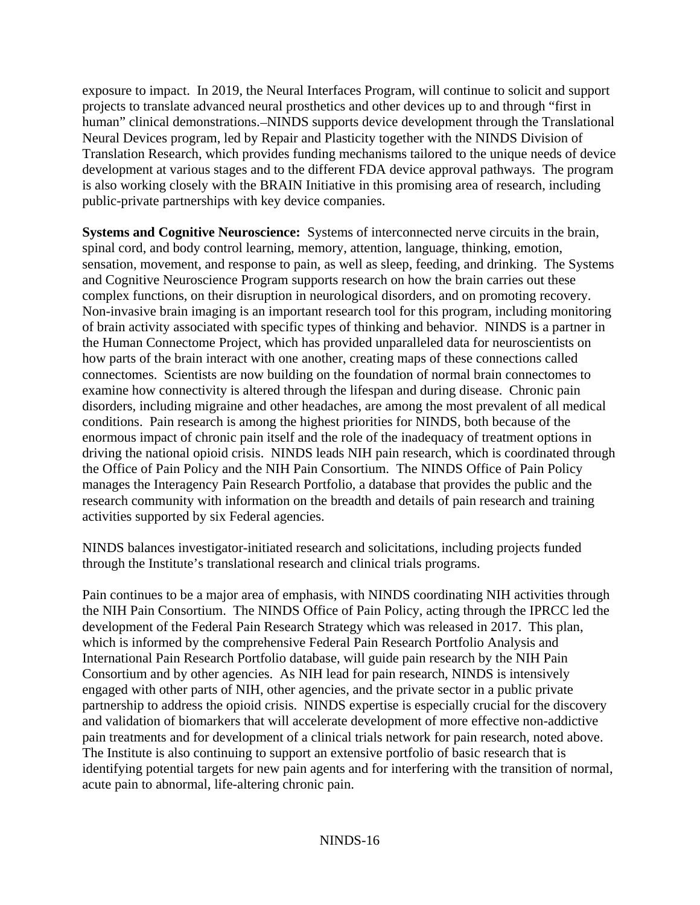exposure to impact. In 2019, the Neural Interfaces Program, will continue to solicit and support projects to translate advanced neural prosthetics and other devices up to and through "first in human" clinical demonstrations.—NINDS supports device development through the Translational Neural Devices program, led by Repair and Plasticity together with the NINDS Division of Translation Research, which provides funding mechanisms tailored to the unique needs of device development at various stages and to the different FDA device approval pathways. The program is also working closely with the BRAIN Initiative in this promising area of research, including public-private partnerships with key device companies.

**Systems and Cognitive Neuroscience:** Systems of interconnected nerve circuits in the brain, spinal cord, and body control learning, memory, attention, language, thinking, emotion, sensation, movement, and response to pain, as well as sleep, feeding, and drinking. The Systems and Cognitive Neuroscience Program supports research on how the brain carries out these complex functions, on their disruption in neurological disorders, and on promoting recovery. Non-invasive brain imaging is an important research tool for this program, including monitoring of brain activity associated with specific types of thinking and behavior*.* NINDS is a partner in the Human Connectome Project, which has provided unparalleled data for neuroscientists on how parts of the brain interact with one another, creating maps of these connections called connectomes. Scientists are now building on the foundation of normal brain connectomes to examine how connectivity is altered through the lifespan and during disease. Chronic pain disorders, including migraine and other headaches, are among the most prevalent of all medical conditions. Pain research is among the highest priorities for NINDS, both because of the enormous impact of chronic pain itself and the role of the inadequacy of treatment options in driving the national opioid crisis. NINDS leads NIH pain research, which is coordinated through the Office of Pain Policy and the NIH Pain Consortium. The NINDS Office of Pain Policy manages the Interagency Pain Research Portfolio, a database that provides the public and the research community with information on the breadth and details of pain research and training activities supported by six Federal agencies.

NINDS balances investigator-initiated research and solicitations, including projects funded through the Institute's translational research and clinical trials programs.

Pain continues to be a major area of emphasis, with NINDS coordinating NIH activities through the NIH Pain Consortium. The NINDS Office of Pain Policy, acting through the IPRCC led the development of the Federal Pain Research Strategy which was released in 2017. This plan, which is informed by the comprehensive Federal Pain Research Portfolio Analysis and International Pain Research Portfolio database, will guide pain research by the NIH Pain Consortium and by other agencies. As NIH lead for pain research, NINDS is intensively engaged with other parts of NIH, other agencies, and the private sector in a public private partnership to address the opioid crisis. NINDS expertise is especially crucial for the discovery and validation of biomarkers that will accelerate development of more effective non-addictive pain treatments and for development of a clinical trials network for pain research, noted above. The Institute is also continuing to support an extensive portfolio of basic research that is identifying potential targets for new pain agents and for interfering with the transition of normal, acute pain to abnormal, life-altering chronic pain.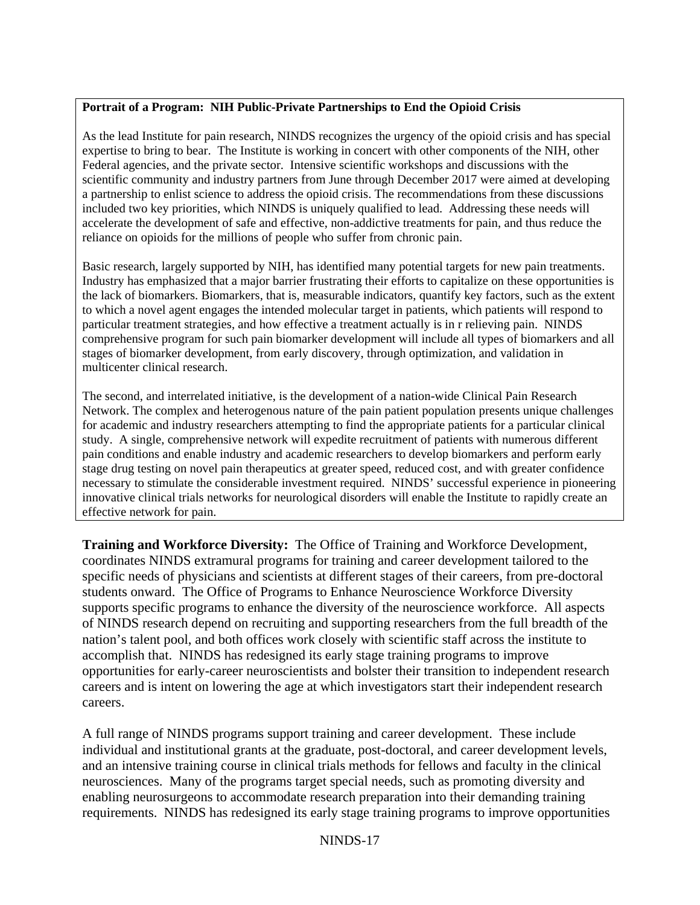## **Portrait of a Program: NIH Public-Private Partnerships to End the Opioid Crisis**

 scientific community and industry partners from June through December 2017 were aimed at developing As the lead Institute for pain research, NINDS recognizes the urgency of the opioid crisis and has special expertise to bring to bear. The Institute is working in concert with other components of the NIH, other Federal agencies, and the private sector. Intensive scientific workshops and discussions with the a partnership to enlist science to address the opioid crisis. The recommendations from these discussions included two key priorities, which NINDS is uniquely qualified to lead. Addressing these needs will accelerate the development of safe and effective, non-addictive treatments for pain, and thus reduce the reliance on opioids for the millions of people who suffer from chronic pain.

 the lack of biomarkers. Biomarkers, that is, measurable indicators, quantify key factors, such as the extent Basic research, largely supported by NIH, has identified many potential targets for new pain treatments. Industry has emphasized that a major barrier frustrating their efforts to capitalize on these opportunities is to which a novel agent engages the intended molecular target in patients, which patients will respond to particular treatment strategies, and how effective a treatment actually is in r relieving pain. NINDS comprehensive program for such pain biomarker development will include all types of biomarkers and all stages of biomarker development, from early discovery, through optimization, and validation in multicenter clinical research.

 pain conditions and enable industry and academic researchers to develop biomarkers and perform early The second, and interrelated initiative, is the development of a nation-wide Clinical Pain Research Network. The complex and heterogenous nature of the pain patient population presents unique challenges for academic and industry researchers attempting to find the appropriate patients for a particular clinical study. A single, comprehensive network will expedite recruitment of patients with numerous different stage drug testing on novel pain therapeutics at greater speed, reduced cost, and with greater confidence necessary to stimulate the considerable investment required. NINDS' successful experience in pioneering innovative clinical trials networks for neurological disorders will enable the Institute to rapidly create an effective network for pain.

**Training and Workforce Diversity:** The Office of Training and Workforce Development, coordinates NINDS extramural programs for training and career development tailored to the specific needs of physicians and scientists at different stages of their careers, from pre-doctoral students onward. The Office of Programs to Enhance Neuroscience Workforce Diversity supports specific programs to enhance the diversity of the neuroscience workforce. All aspects of NINDS research depend on recruiting and supporting researchers from the full breadth of the nation's talent pool, and both offices work closely with scientific staff across the institute to accomplish that. NINDS has redesigned its early stage training programs to improve opportunities for early-career neuroscientists and bolster their transition to independent research careers and is intent on lowering the age at which investigators start their independent research careers.

A full range of NINDS programs support training and career development. These include individual and institutional grants at the graduate, post-doctoral, and career development levels, and an intensive training course in clinical trials methods for fellows and faculty in the clinical neurosciences. Many of the programs target special needs, such as promoting diversity and enabling neurosurgeons to accommodate research preparation into their demanding training requirements. NINDS has redesigned its early stage training programs to improve opportunities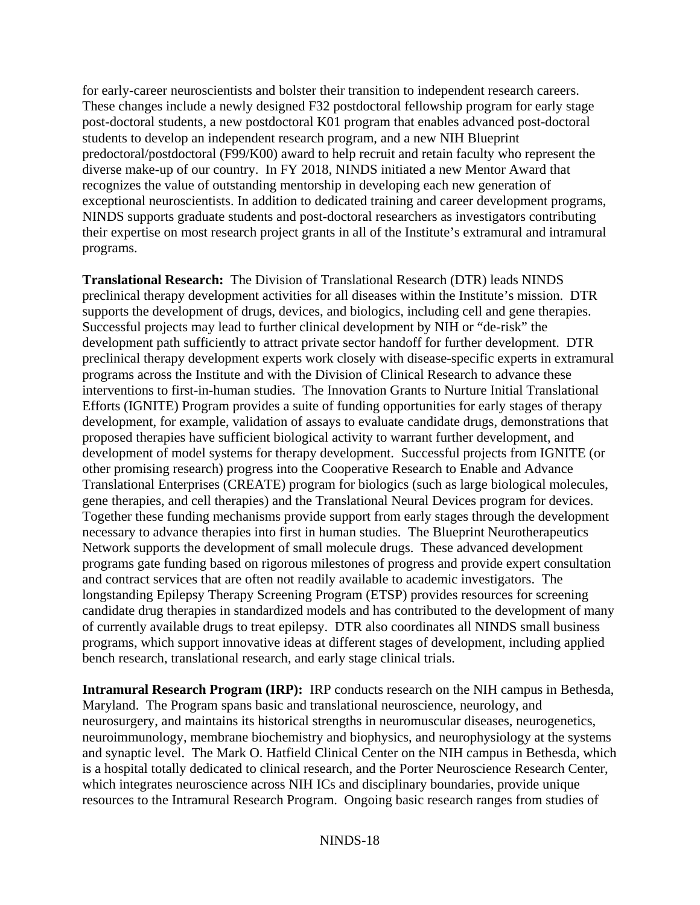for early-career neuroscientists and bolster their transition to independent research careers. These changes include a newly designed F32 postdoctoral fellowship program for early stage post-doctoral students, a new postdoctoral K01 program that enables advanced post-doctoral students to develop an independent research program, and a new NIH Blueprint predoctoral/postdoctoral (F99/K00) award to help recruit and retain faculty who represent the diverse make-up of our country. In FY 2018, NINDS initiated a new Mentor Award that recognizes the value of outstanding mentorship in developing each new generation of exceptional neuroscientists. In addition to dedicated training and career development programs, NINDS supports graduate students and post-doctoral researchers as investigators contributing their expertise on most research project grants in all of the Institute's extramural and intramural programs.

**Translational Research:** The Division of Translational Research (DTR) leads NINDS preclinical therapy development activities for all diseases within the Institute's mission. DTR supports the development of drugs, devices, and biologics, including cell and gene therapies. Successful projects may lead to further clinical development by NIH or "de-risk" the development path sufficiently to attract private sector handoff for further development. DTR preclinical therapy development experts work closely with disease-specific experts in extramural programs across the Institute and with the Division of Clinical Research to advance these interventions to first-in-human studies. The Innovation Grants to Nurture Initial Translational Efforts (IGNITE) Program provides a suite of funding opportunities for early stages of therapy development, for example, validation of assays to evaluate candidate drugs, demonstrations that proposed therapies have sufficient biological activity to warrant further development, and development of model systems for therapy development. Successful projects from IGNITE (or other promising research) progress into the Cooperative Research to Enable and Advance Translational Enterprises (CREATE) program for biologics (such as large biological molecules, gene therapies, and cell therapies) and the Translational Neural Devices program for devices. Together these funding mechanisms provide support from early stages through the development necessary to advance therapies into first in human studies. The Blueprint Neurotherapeutics Network supports the development of small molecule drugs. These advanced development programs gate funding based on rigorous milestones of progress and provide expert consultation and contract services that are often not readily available to academic investigators. The longstanding Epilepsy Therapy Screening Program (ETSP) provides resources for screening candidate drug therapies in standardized models and has contributed to the development of many of currently available drugs to treat epilepsy. DTR also coordinates all NINDS small business programs, which support innovative ideas at different stages of development, including applied bench research, translational research, and early stage clinical trials.

**Intramural Research Program (IRP):** IRP conducts research on the NIH campus in Bethesda, Maryland. The Program spans basic and translational neuroscience, neurology, and neurosurgery, and maintains its historical strengths in neuromuscular diseases, neurogenetics, neuroimmunology, membrane biochemistry and biophysics, and neurophysiology at the systems and synaptic level. The Mark O. Hatfield Clinical Center on the NIH campus in Bethesda, which is a hospital totally dedicated to clinical research, and the Porter Neuroscience Research Center, which integrates neuroscience across NIH ICs and disciplinary boundaries, provide unique resources to the Intramural Research Program. Ongoing basic research ranges from studies of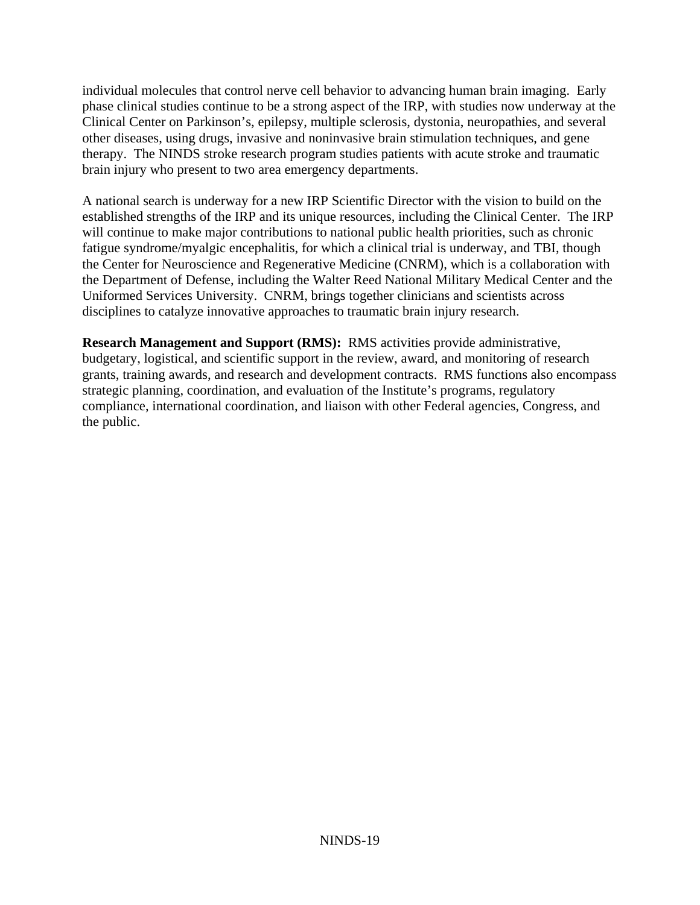individual molecules that control nerve cell behavior to advancing human brain imaging. Early phase clinical studies continue to be a strong aspect of the IRP, with studies now underway at the Clinical Center on Parkinson's, epilepsy, multiple sclerosis, dystonia, neuropathies, and several other diseases, using drugs, invasive and noninvasive brain stimulation techniques, and gene therapy. The NINDS stroke research program studies patients with acute stroke and traumatic brain injury who present to two area emergency departments.

A national search is underway for a new IRP Scientific Director with the vision to build on the established strengths of the IRP and its unique resources, including the Clinical Center. The IRP will continue to make major contributions to national public health priorities, such as chronic fatigue syndrome/myalgic encephalitis, for which a clinical trial is underway, and TBI, though the Center for Neuroscience and Regenerative Medicine (CNRM), which is a collaboration with the Department of Defense, including the Walter Reed National Military Medical Center and the Uniformed Services University. CNRM, brings together clinicians and scientists across disciplines to catalyze innovative approaches to traumatic brain injury research.

**Research Management and Support (RMS):** RMS activities provide administrative, budgetary, logistical, and scientific support in the review, award, and monitoring of research grants, training awards, and research and development contracts. RMS functions also encompass strategic planning, coordination, and evaluation of the Institute's programs, regulatory compliance, international coordination, and liaison with other Federal agencies, Congress, and the public.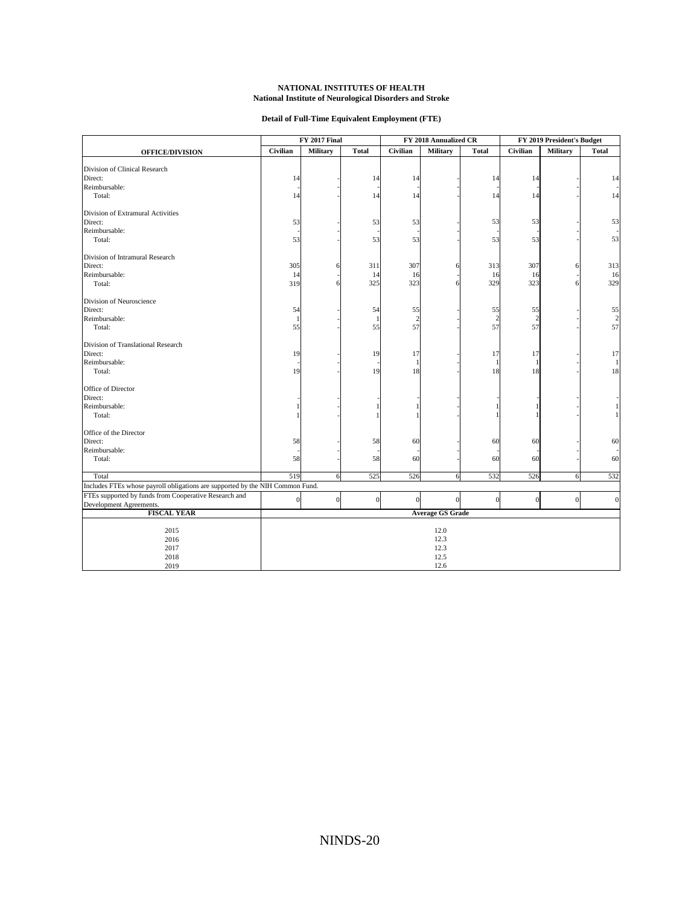#### **Detail of Full-Time Equivalent Employment (FTE)**

<span id="page-19-0"></span>

|                                                                               |                         | FY 2017 Final    |                  | FY 2018 Annualized CR |                  | FY 2019 President's Budget |                |                 |                         |
|-------------------------------------------------------------------------------|-------------------------|------------------|------------------|-----------------------|------------------|----------------------------|----------------|-----------------|-------------------------|
| <b>OFFICE/DIVISION</b>                                                        | Civilian                | <b>Military</b>  | <b>Total</b>     | Civilian              | <b>Military</b>  | <b>Total</b>               | Civilian       | <b>Military</b> | <b>Total</b>            |
|                                                                               |                         |                  |                  |                       |                  |                            |                |                 |                         |
| Division of Clinical Research                                                 |                         |                  |                  |                       |                  |                            |                |                 |                         |
| Direct:                                                                       | 14                      |                  | 14               | 14                    |                  | 14                         | 14             |                 | 14                      |
| Reimbursable:                                                                 |                         |                  |                  |                       |                  |                            |                |                 |                         |
| Total:                                                                        | 14                      |                  | 14               | 14                    |                  | 14                         | 14             |                 | 14                      |
| Division of Extramural Activities                                             |                         |                  |                  |                       |                  |                            |                |                 |                         |
| Direct:                                                                       | 53                      |                  | 53               | 53                    |                  | 53                         | 53             |                 | 53                      |
| Reimbursable:                                                                 |                         |                  |                  |                       |                  |                            |                |                 |                         |
| Total:                                                                        | 53                      |                  | 53               | 53                    |                  | 53                         | 53             |                 | 53                      |
| Division of Intramural Research                                               |                         |                  |                  |                       |                  |                            |                |                 |                         |
| Direct:                                                                       | 305                     |                  | 311              | 307                   |                  | 313                        | 307            |                 | 313                     |
| Reimbursable:                                                                 | 14                      |                  | 14               | 16                    |                  | 16                         | 16             |                 | 16                      |
| Total:                                                                        | 319                     |                  | 325              | 323                   |                  | 329                        | 323            |                 | 329                     |
| Division of Neuroscience                                                      |                         |                  |                  |                       |                  |                            |                |                 |                         |
| Direct:                                                                       | 54                      |                  | 54               | 55                    |                  | 55                         | 55             |                 | 55                      |
| Reimbursable:                                                                 | $\mathbf{1}$            |                  | $\mathbf{1}$     | $\overline{c}$        |                  | $\overline{2}$             | $\overline{2}$ |                 | $\overline{\mathbf{c}}$ |
| Total:                                                                        | 55                      |                  | 55               | 57                    |                  | 57                         | 57             |                 | 57                      |
| Division of Translational Research                                            |                         |                  |                  |                       |                  |                            |                |                 |                         |
| Direct:                                                                       | 19                      |                  | 19               | 17                    |                  | 17                         | 17             |                 | 17                      |
| Reimbursable:                                                                 |                         |                  |                  | 1                     |                  |                            |                |                 |                         |
| Total:                                                                        | 19                      |                  | 19               | 18                    |                  | 18                         | 18             |                 | 18                      |
| Office of Director                                                            |                         |                  |                  |                       |                  |                            |                |                 |                         |
| Direct:                                                                       |                         |                  |                  |                       |                  |                            |                |                 |                         |
| Reimbursable:                                                                 |                         |                  |                  |                       |                  |                            |                |                 |                         |
| Total:                                                                        |                         |                  |                  |                       |                  |                            |                |                 |                         |
| Office of the Director                                                        |                         |                  |                  |                       |                  |                            |                |                 |                         |
| Direct:                                                                       | 58                      |                  | 58               | 60                    |                  | 60                         | 60             |                 | 60                      |
| Reimbursable:                                                                 |                         |                  |                  |                       |                  |                            |                |                 |                         |
| Total:                                                                        | 58                      |                  | 58               | 60                    |                  | 60                         | 60             |                 | 60                      |
| Total                                                                         | 519                     | 6                | 525              | 526                   | 6                | 532                        | 526            | 6               | 532                     |
| Includes FTEs whose payroll obligations are supported by the NIH Common Fund. |                         |                  |                  |                       |                  |                            |                |                 |                         |
| FTEs supported by funds from Cooperative Research and                         |                         |                  |                  |                       |                  |                            |                |                 |                         |
| Development Agreements.                                                       | $\boldsymbol{0}$        | $\boldsymbol{0}$ | $\boldsymbol{0}$ | $\boldsymbol{0}$      | $\boldsymbol{0}$ | $\Omega$                   | $\Omega$       | $\overline{0}$  | $\overline{0}$          |
| <b>FISCAL YEAR</b>                                                            | <b>Average GS Grade</b> |                  |                  |                       |                  |                            |                |                 |                         |
|                                                                               | 12.0<br>2015            |                  |                  |                       |                  |                            |                |                 |                         |
| 2016                                                                          | 12.3                    |                  |                  |                       |                  |                            |                |                 |                         |
| 2017                                                                          | 12.3                    |                  |                  |                       |                  |                            |                |                 |                         |
| 2018                                                                          |                         |                  |                  |                       | 12.5             |                            |                |                 |                         |
| 2019                                                                          | 12.6                    |                  |                  |                       |                  |                            |                |                 |                         |